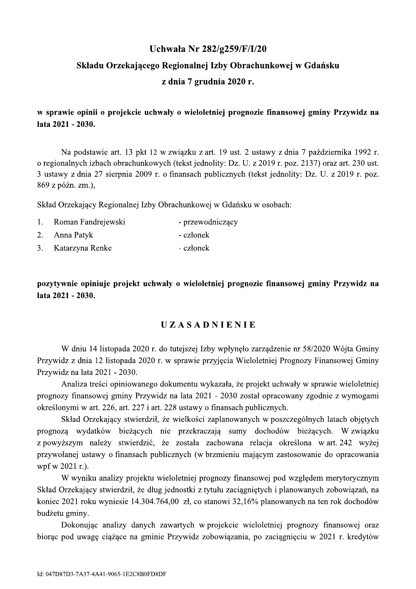### Uchwała Nr 282/g259/F/I/20

## Składu Orzekającego Regionalnej Izby Obrachunkowej w Gdańsku z dnia 7 grudnia 2020 r.

w sprawie opinii o projekcie uchwały o wieloletniej prognozie finansowej gminy Przywidz na lata 2021 - 2030.

Na podstawie art. 13 pkt 12 w związku z art. 19 ust. 2 ustawy z dnia 7 października 1992 r. o regionalnych izbach obrachunkowych (tekst jednolity: Dz. U. z 2019 r. poz. 2137) oraz art. 230 ust. 3 ustawy z dnia 27 sierpnia 2009 r. o finansach publicznych (tekst jednolity: Dz. U. z 2019 r. poz. 869 z późn. zm.),

Skład Orzekający Regionalnej Izby Obrachunkowej w Gdańsku w osobach:

| 1. Roman Fandrejewski | - przewodniczący |
|-----------------------|------------------|
| 2. Anna Patyk         | - członek        |
| 3. Katarzyna Renke    | - członek        |

pozytywnie opiniuje projekt uchwały o wieloletniej prognozie finansowej gminy Przywidz na lata 2021 - 2030.

#### **UZASADNIENIE**

W dniu 14 listopada 2020 r. do tutejszej Izby wpłyneło zarządzenie nr 58/2020 Wójta Gminy Przywidz z dnia 12 listopada 2020 r. w sprawie przyjęcia Wieloletniej Prognozy Finansowej Gminy Przywidz na lata 2021 - 2030.

Analiza treści opiniowanego dokumentu wykazała, że projekt uchwały w sprawie wieloletniej prognozy finansowej gminy Przywidz na lata 2021 - 2030 został opracowany zgodnie z wymogami określonymi w art. 226, art. 227 i art. 228 ustawy o finansach publicznych.

Skład Orzekający stwierdził, że wielkości zaplanowanych w poszczególnych latach objętych prognozą wydatków bieżących nie przekraczają sumy dochodów bieżących. W związku z powyższym należy stwierdzić, że została zachowana relacja określona w art. 242 wyżej przywołanej ustawy o finansach publicznych (w brzmieniu mającym zastosowanie do opracowania wpf w  $2021$  r.).

W wyniku analizy projektu wieloletniej prognozy finansowej pod względem merytorycznym Skład Orzekający stwierdził, że dług jednostki z tytułu zaciągniętych i planowanych zobowiązań, na koniec 2021 roku wyniesie 14.304.764,00 zł, co stanowi 32,16% planowanych na ten rok dochodów budżetu gminy.

Dokonując analizy danych zawartych w projekcie wieloletniej prognozy finansowej oraz biorac pod uwagę ciążące na gminie Przywidz zobowiązania, po zaciągnięciu w 2021 r. kredytów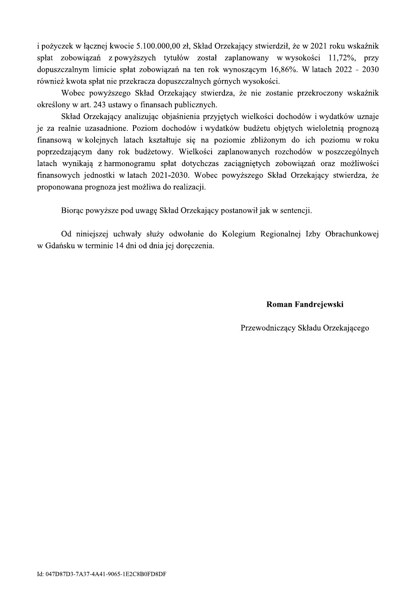i pożyczek w łącznej kwocie 5.100.000,00 zł, Skład Orzekający stwierdził, że w 2021 roku wskaźnik spłat zobowiazań z powyższych tytułów został zaplanowany w wysokości 11,72%, przy dopuszczalnym limicie spłat zobowiązań na ten rok wynoszącym 16,86%. W latach 2022 - 2030 również kwota spłat nie przekracza dopuszczalnych górnych wysokości.

Wobec powyższego Skład Orzekający stwierdza, że nie zostanie przekroczony wskaźnik określony w art. 243 ustawy o finansach publicznych.

Skład Orzekający analizując objaśnienia przyjętych wielkości dochodów i wydatków uznaje je za realnie uzasadnione. Poziom dochodów i wydatków budżetu objętych wieloletnią prognozą finansową w kolejnych latach kształtuje się na poziomie zbliżonym do ich poziomu w roku poprzedzającym dany rok budżetowy. Wielkości zaplanowanych rozchodów w poszczególnych latach wynikają z harmonogramu spłat dotychczas zaciągniętych zobowiązań oraz możliwości finansowych jednostki w latach 2021-2030. Wobec powyższego Skład Orzekający stwierdza, że proponowana prognoza jest możliwa do realizacii.

Biorac powyższe pod uwagę Skład Orzekający postanowił jak w sentencji.

Od niniejszej uchwały służy odwołanie do Kolegium Regionalnej Izby Obrachunkowej w Gdańsku w terminie 14 dni od dnia jej doręczenia.

#### Roman Fandrejewski

Przewodniczący Składu Orzekającego